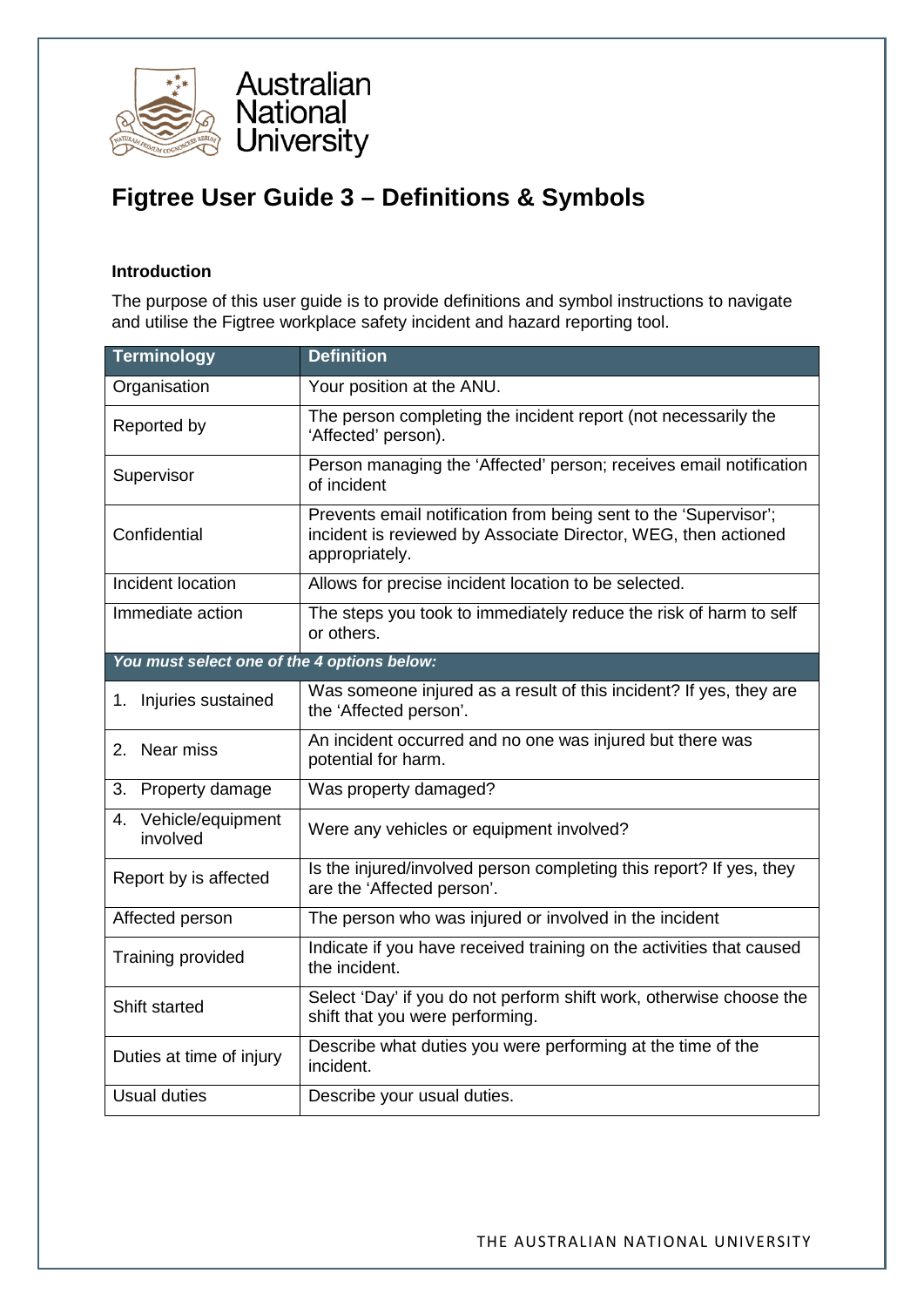

## **Figtree User Guide 3 – Definitions & Symbols**

## **Introduction**

The purpose of this user guide is to provide definitions and symbol instructions to navigate and utilise the Figtree workplace safety incident and hazard reporting tool.

| <b>Terminology</b>                                                        | <b>Definition</b>                                                                                                                                    |  |  |
|---------------------------------------------------------------------------|------------------------------------------------------------------------------------------------------------------------------------------------------|--|--|
| Organisation                                                              | Your position at the ANU.                                                                                                                            |  |  |
| Reported by                                                               | The person completing the incident report (not necessarily the<br>'Affected' person).                                                                |  |  |
| Supervisor                                                                | Person managing the 'Affected' person; receives email notification<br>of incident                                                                    |  |  |
| Confidential                                                              | Prevents email notification from being sent to the 'Supervisor';<br>incident is reviewed by Associate Director, WEG, then actioned<br>appropriately. |  |  |
| Incident location<br>Allows for precise incident location to be selected. |                                                                                                                                                      |  |  |
| Immediate action                                                          | The steps you took to immediately reduce the risk of harm to self<br>or others.                                                                      |  |  |
| You must select one of the 4 options below:                               |                                                                                                                                                      |  |  |
| 1. Injuries sustained                                                     | Was someone injured as a result of this incident? If yes, they are<br>the 'Affected person'.                                                         |  |  |
| 2. Near miss                                                              | An incident occurred and no one was injured but there was<br>potential for harm.                                                                     |  |  |
| 3. Property damage                                                        | Was property damaged?                                                                                                                                |  |  |
| Vehicle/equipment<br>4.<br>involved                                       | Were any vehicles or equipment involved?                                                                                                             |  |  |
| Report by is affected                                                     | Is the injured/involved person completing this report? If yes, they<br>are the 'Affected person'.                                                    |  |  |
| Affected person                                                           | The person who was injured or involved in the incident                                                                                               |  |  |
| Training provided                                                         | Indicate if you have received training on the activities that caused<br>the incident.                                                                |  |  |
| Shift started                                                             | Select 'Day' if you do not perform shift work, otherwise choose the<br>shift that you were performing.                                               |  |  |
| Duties at time of injury                                                  | Describe what duties you were performing at the time of the<br>incident.                                                                             |  |  |
| <b>Usual duties</b>                                                       | Describe your usual duties.                                                                                                                          |  |  |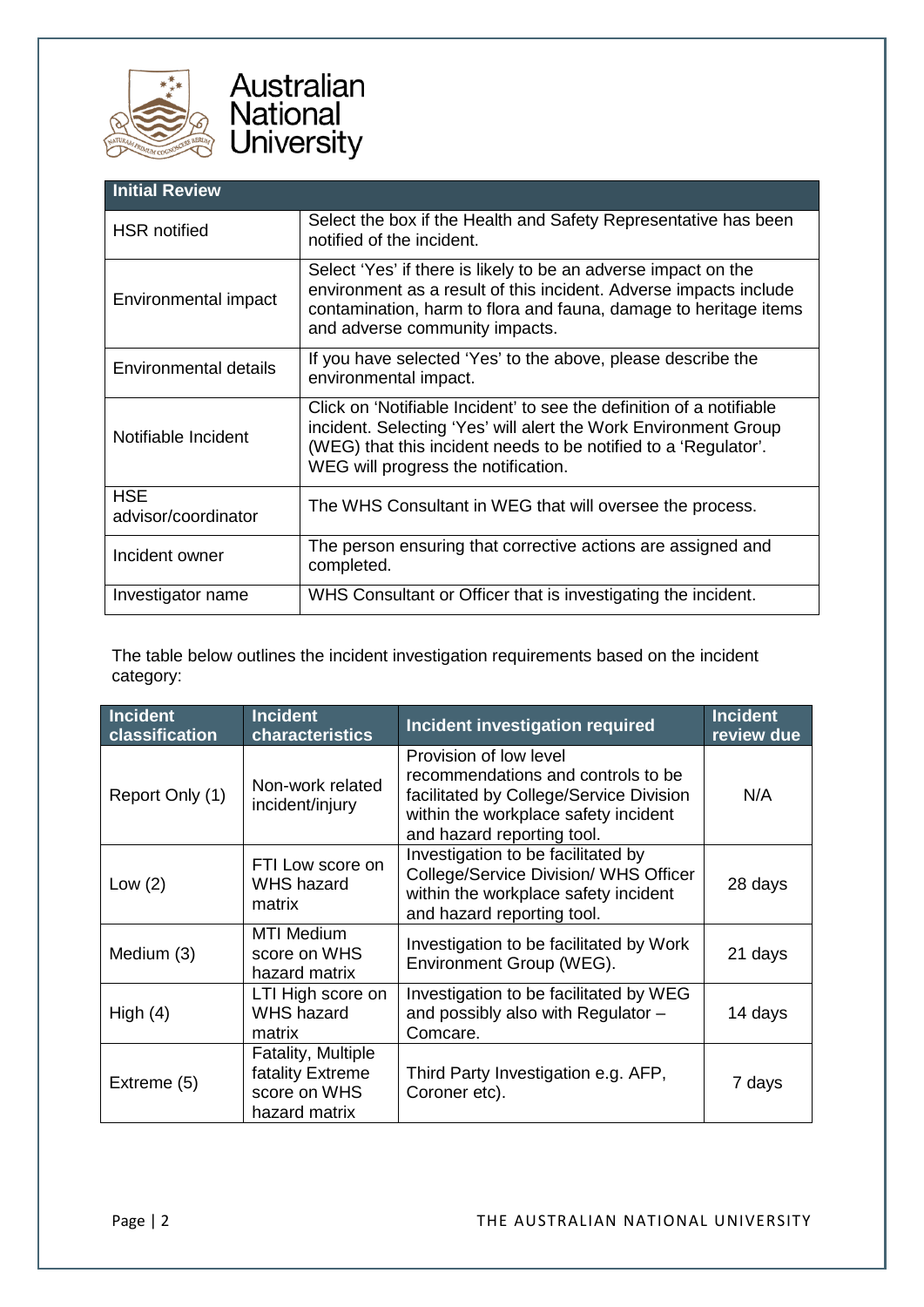

| <b>Initial Review</b>             |                                                                                                                                                                                                                                                   |  |
|-----------------------------------|---------------------------------------------------------------------------------------------------------------------------------------------------------------------------------------------------------------------------------------------------|--|
| <b>HSR</b> notified               | Select the box if the Health and Safety Representative has been<br>notified of the incident.                                                                                                                                                      |  |
| Environmental impact              | Select 'Yes' if there is likely to be an adverse impact on the<br>environment as a result of this incident. Adverse impacts include<br>contamination, harm to flora and fauna, damage to heritage items<br>and adverse community impacts.         |  |
| Environmental details             | If you have selected 'Yes' to the above, please describe the<br>environmental impact.                                                                                                                                                             |  |
| Notifiable Incident               | Click on 'Notifiable Incident' to see the definition of a notifiable<br>incident. Selecting 'Yes' will alert the Work Environment Group<br>(WEG) that this incident needs to be notified to a 'Regulator'.<br>WEG will progress the notification. |  |
| <b>HSE</b><br>advisor/coordinator | The WHS Consultant in WEG that will oversee the process.                                                                                                                                                                                          |  |
| Incident owner                    | The person ensuring that corrective actions are assigned and<br>completed.                                                                                                                                                                        |  |
| Investigator name                 | WHS Consultant or Officer that is investigating the incident.                                                                                                                                                                                     |  |

The table below outlines the incident investigation requirements based on the incident category:

| Incident<br>classification | <b>Incident</b><br>characteristics                                             | Incident investigation required                                                                                                                                               | <b>Incident</b><br>review due |
|----------------------------|--------------------------------------------------------------------------------|-------------------------------------------------------------------------------------------------------------------------------------------------------------------------------|-------------------------------|
| Report Only (1)            | Non-work related<br>incident/injury                                            | Provision of low level<br>recommendations and controls to be<br>facilitated by College/Service Division<br>within the workplace safety incident<br>and hazard reporting tool. | N/A                           |
| Low $(2)$                  | FTI Low score on<br><b>WHS hazard</b><br>matrix                                | Investigation to be facilitated by<br>College/Service Division/ WHS Officer<br>within the workplace safety incident<br>and hazard reporting tool.                             | 28 days                       |
| Medium (3)                 | <b>MTI Medium</b><br>score on WHS<br>hazard matrix                             | Investigation to be facilitated by Work<br>Environment Group (WEG).                                                                                                           | 21 days                       |
| High $(4)$                 | LTI High score on<br><b>WHS hazard</b><br>matrix                               | Investigation to be facilitated by WEG<br>and possibly also with Regulator -<br>Comcare.                                                                                      | 14 days                       |
| Extreme (5)                | <b>Fatality, Multiple</b><br>fatality Extreme<br>score on WHS<br>hazard matrix | Third Party Investigation e.g. AFP,<br>Coroner etc).                                                                                                                          | 7 days                        |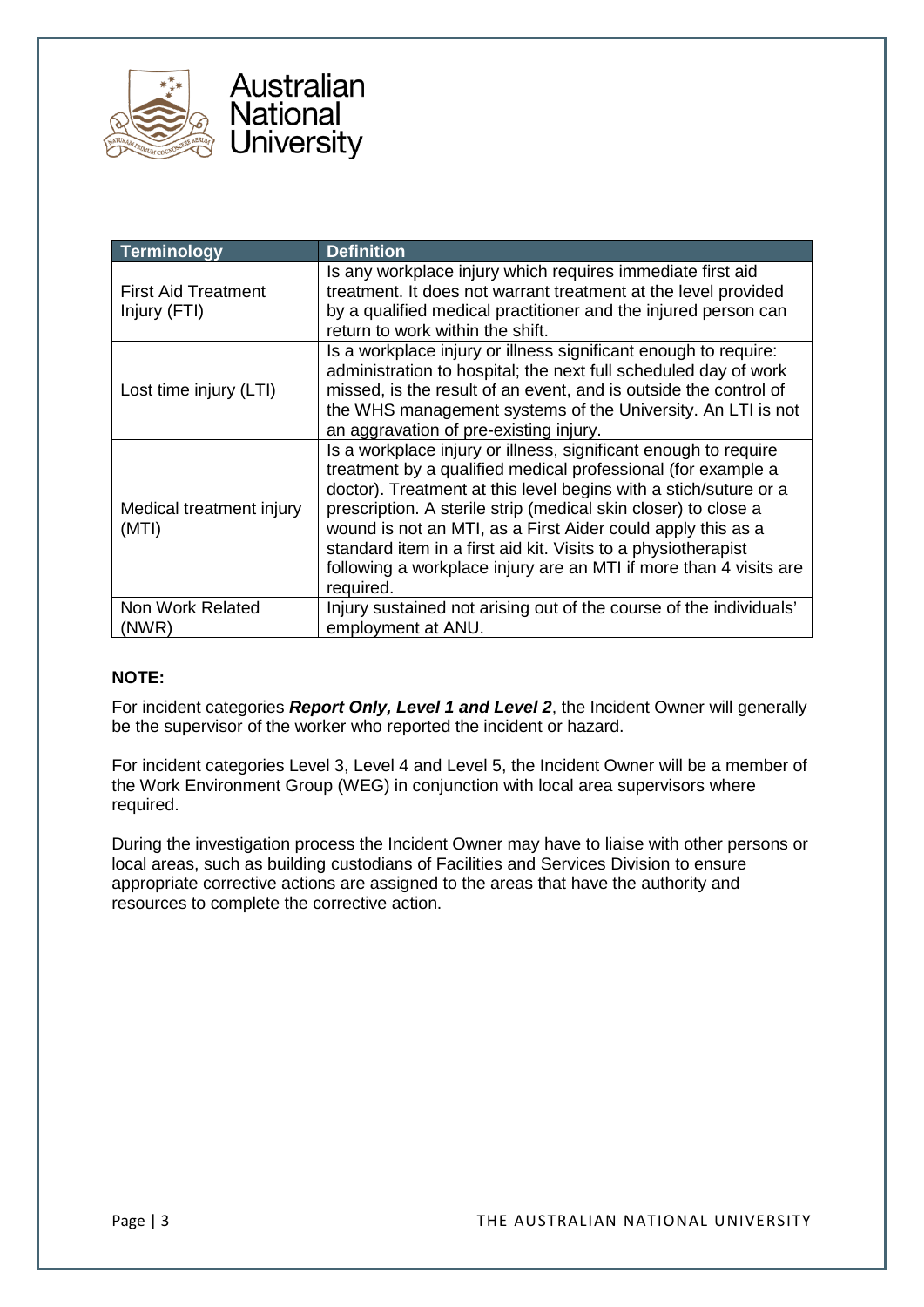



| Terminology                                | <b>Definition</b>                                                                                                                                                                                                                                                                                                                                                                                                                                                                       |  |  |
|--------------------------------------------|-----------------------------------------------------------------------------------------------------------------------------------------------------------------------------------------------------------------------------------------------------------------------------------------------------------------------------------------------------------------------------------------------------------------------------------------------------------------------------------------|--|--|
| <b>First Aid Treatment</b><br>Injury (FTI) | Is any workplace injury which requires immediate first aid<br>treatment. It does not warrant treatment at the level provided<br>by a qualified medical practitioner and the injured person can<br>return to work within the shift.                                                                                                                                                                                                                                                      |  |  |
| Lost time injury (LTI)                     | Is a workplace injury or illness significant enough to require:<br>administration to hospital; the next full scheduled day of work<br>missed, is the result of an event, and is outside the control of<br>the WHS management systems of the University. An LTI is not<br>an aggravation of pre-existing injury.                                                                                                                                                                         |  |  |
| Medical treatment injury<br>(MTI)          | Is a workplace injury or illness, significant enough to require<br>treatment by a qualified medical professional (for example a<br>doctor). Treatment at this level begins with a stich/suture or a<br>prescription. A sterile strip (medical skin closer) to close a<br>wound is not an MTI, as a First Aider could apply this as a<br>standard item in a first aid kit. Visits to a physiotherapist<br>following a workplace injury are an MTI if more than 4 visits are<br>required. |  |  |
| Non Work Related<br>(NWR)                  | Injury sustained not arising out of the course of the individuals'<br>employment at ANU.                                                                                                                                                                                                                                                                                                                                                                                                |  |  |

## **NOTE:**

For incident categories *Report Only, Level 1 and Level 2*, the Incident Owner will generally be the supervisor of the worker who reported the incident or hazard.

For incident categories Level 3, Level 4 and Level 5, the Incident Owner will be a member of the Work Environment Group (WEG) in conjunction with local area supervisors where required.

During the investigation process the Incident Owner may have to liaise with other persons or local areas, such as building custodians of Facilities and Services Division to ensure appropriate corrective actions are assigned to the areas that have the authority and resources to complete the corrective action.